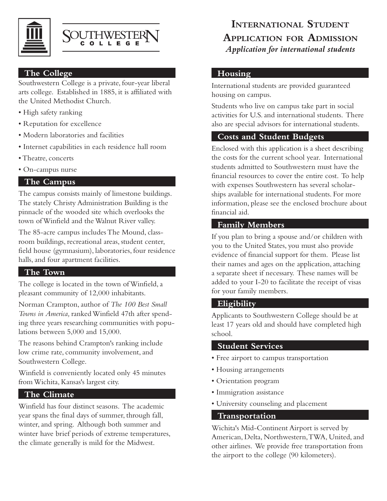



### **The College**

Southwestern College is a private, four-year liberal arts college. Established in 1885, it is affiliated with the United Methodist Church.

- High safety ranking
- Reputation for excellence
- Modern laboratories and facilities
- Internet capabilities in each residence hall room
- Theatre, concerts
- On-campus nurse

#### **The Campus**

The campus consists mainly of limestone buildings. The stately Christy Administration Building is the pinnacle of the wooded site which overlooks the town of Winfield and the Walnut River valley.

The 85-acre campus includes The Mound, classroom buildings, recreational areas, student center, field house (gymnasium), laboratories, four residence halls, and four apartment facilities.

## **The Town**

The college is located in the town of Winfield, a pleasant community of 12,000 inhabitants.

Norman Crampton, author of *The 100 Best Small Towns in America,* ranked Winfield 47th after spending three years researching communities with populations between 5,000 and 15,000.

The reasons behind Crampton's ranking include low crime rate, community involvement, and Southwestern College.

Winfield is conveniently located only 45 minutes from Wichita, Kansas's largest city.

## **The Climate**

Winfield has four distinct seasons. The academic year spans the final days of summer, through fall, winter, and spring. Although both summer and winter have brief periods of extreme temperatures, the climate generally is mild for the Midwest.

# **International Student Application for Admission** *Application for international students*

### **Housing**

International students are provided guaranteed housing on campus.

Students who live on campus take part in social activities for U.S. and international students. There also are special advisors for international students.

## **Costs and Student Budgets**

Enclosed with this application is a sheet describing the costs for the current school year. International students admitted to Southwestern must have the financial resources to cover the entire cost. To help with expenses Southwestern has several scholarships available for international students. For more information, please see the enclosed brochure about financial aid.

### **Family Members**

If you plan to bring a spouse and/or children with you to the United States, you must also provide evidence of financial support for them. Please list their names and ages on the application, attaching a separate sheet if necessary. These names will be added to your I-20 to facilitate the receipt of visas for your family members.

## **Eligibility**

Applicants to Southwestern College should be at least 17 years old and should have completed high school.

#### **Student Services**

- Free airport to campus transportation
- Housing arrangements
- Orientation program
- Immigration assistance
- University counseling and placement

#### **Transportation**

Wichita's Mid-Continent Airport is served by American, Delta, Northwestern, TWA, United, and other airlines. We provide free transportation from the airport to the college (90 kilometers).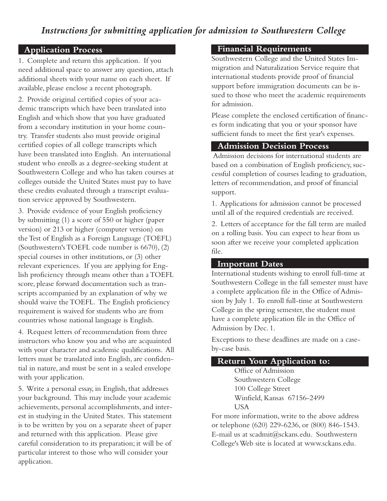## *Instructions for submitting application for admission to Southwestern College*

## **Application Process Application Process**

1. Complete and return this application. If you need additional space to answer any question, attach additional sheets with your name on each sheet. If available, please enclose a recent photograph.

2. Provide original certified copies of your academic transcripts which have been translated into English and which show that you have graduated from a secondary institution in your home country. Transfer students also must provide original certified copies of all college transcripts which have been translated into English. An international student who enrolls as a degree-seeking student at Southwestern College and who has taken courses at colleges outside the United States must pay to have these credits evaluated through a transcript evaluation service approved by Southwestern.

3. Provide evidence of your English proficiency by submitting (1) a score of 550 or higher (paper version) or 213 or higher (computer version) on the Test of English as a Foreign Language (TOEFL) (Southwestern's TOEFL code number is 6670), (2) special courses in other institutions, or (3) other relevant experiences. If you are applying for English proficiency through means other than a TOEFL score, please forward documentation such as transcripts accompanied by an explanation of why we should waive the TOEFL. The English proficiency requirement is waived for students who are from countries whose national language is English.

4. Request letters of recommendation from three instructors who know you and who are acquainted with your character and academic qualifications. All letters must be translated into English, are confidential in nature, and must be sent in a sealed envelope with your application.

5. Write a personal essay, in English, that addresses your background. This may include your academic achievements, personal accomplishments, and interest in studying in the United States. This statement is to be written by you on a separate sheet of paper and returned with this application. Please give careful consideration to its preparation; it will be of particular interest to those who will consider your application.

### **Financial Requirements**

Southwestern College and the United States Immigration and Naturalization Service require that international students provide proof of financial support before immigration documents can be issued to those who meet the academic requirements for admission.

Please complete the enclosed certification of finances form indicating that you or your sponsor have sufficient funds to meet the first year's expenses.

#### **Admission Decision Process**

 Admission decisions for international students are based on a combination of English proficiency, successful completion of courses leading to graduation, letters of recommendation, and proof of financial support.

1. Applications for admission cannot be processed until all of the required credentials are received.

2. Letters of acceptance for the fall term are mailed on a rolling basis. You can expect to hear from us soon after we receive your completed application file.

#### **Important Dates**

International students wishing to enroll full-time at Southwestern College in the fall semester must have a complete application file in the Office of Admission by July 1. To enroll full-time at Southwestern College in the spring semester, the student must have a complete application file in the Office of Admission by Dec. 1.

Exceptions to these deadlines are made on a caseby-case basis.

#### **Return Your Application to:**

Office of Admission Southwestern College 100 College Street Winfield, Kansas 67156-2499 USA

For more information, write to the above address or telephone (620) 229-6236, or (800) 846-1543. E-mail us at scadmit@sckans.edu. Southwestern College's Web site is located at www.sckans.edu.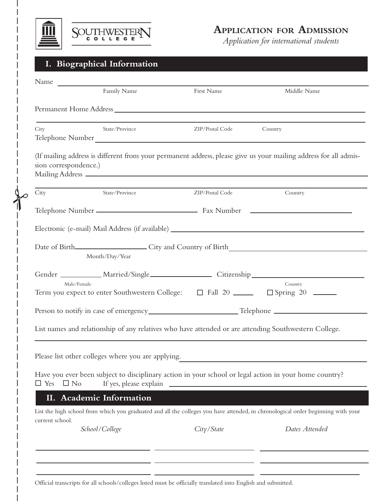

 $\uparrow$ 



## **Application for Admission**

*Application for international students*

## **I. Biographical Information**

|                         | Family Name                                        | First Name                                                                                            | Middle Name                                                                                                                      |
|-------------------------|----------------------------------------------------|-------------------------------------------------------------------------------------------------------|----------------------------------------------------------------------------------------------------------------------------------|
|                         |                                                    |                                                                                                       |                                                                                                                                  |
| City                    | State/Province                                     | ZIP/Postal Code                                                                                       | Country                                                                                                                          |
| sion correspondence.)   |                                                    |                                                                                                       | (If mailing address is different from your permanent address, please give us your mailing address for all admis-                 |
| City                    | State/Province                                     | ZIP/Postal Code                                                                                       | Country                                                                                                                          |
|                         |                                                    |                                                                                                       |                                                                                                                                  |
|                         |                                                    |                                                                                                       |                                                                                                                                  |
|                         | Month/Day/Year                                     |                                                                                                       |                                                                                                                                  |
|                         |                                                    |                                                                                                       | Gender ____________ Married/Single ________________________ Citizenship ___________________________                              |
| Male/Female             |                                                    | Term you expect to enter Southwestern College: □ Fall 20 ______ □ Spring 20 _____                     | Country                                                                                                                          |
|                         |                                                    |                                                                                                       |                                                                                                                                  |
|                         |                                                    | List names and relationship of any relatives who have attended or are attending Southwestern College. |                                                                                                                                  |
|                         | Please list other colleges where you are applying. |                                                                                                       |                                                                                                                                  |
| $\Box$ Yes<br>$\Box$ No |                                                    |                                                                                                       | Have you ever been subject to disciplinary action in your school or legal action in your home country?                           |
|                         | II. Academic Information                           |                                                                                                       |                                                                                                                                  |
| current school.         |                                                    |                                                                                                       | List the high school from which you graduated and all the colleges you have attended, in chronological order beginning with your |
|                         | School/College                                     | City / State                                                                                          | Dates Attended                                                                                                                   |
|                         |                                                    |                                                                                                       |                                                                                                                                  |
|                         |                                                    |                                                                                                       |                                                                                                                                  |

Official transcripts for all schools/colleges listed must be officially translated into English and submitted.